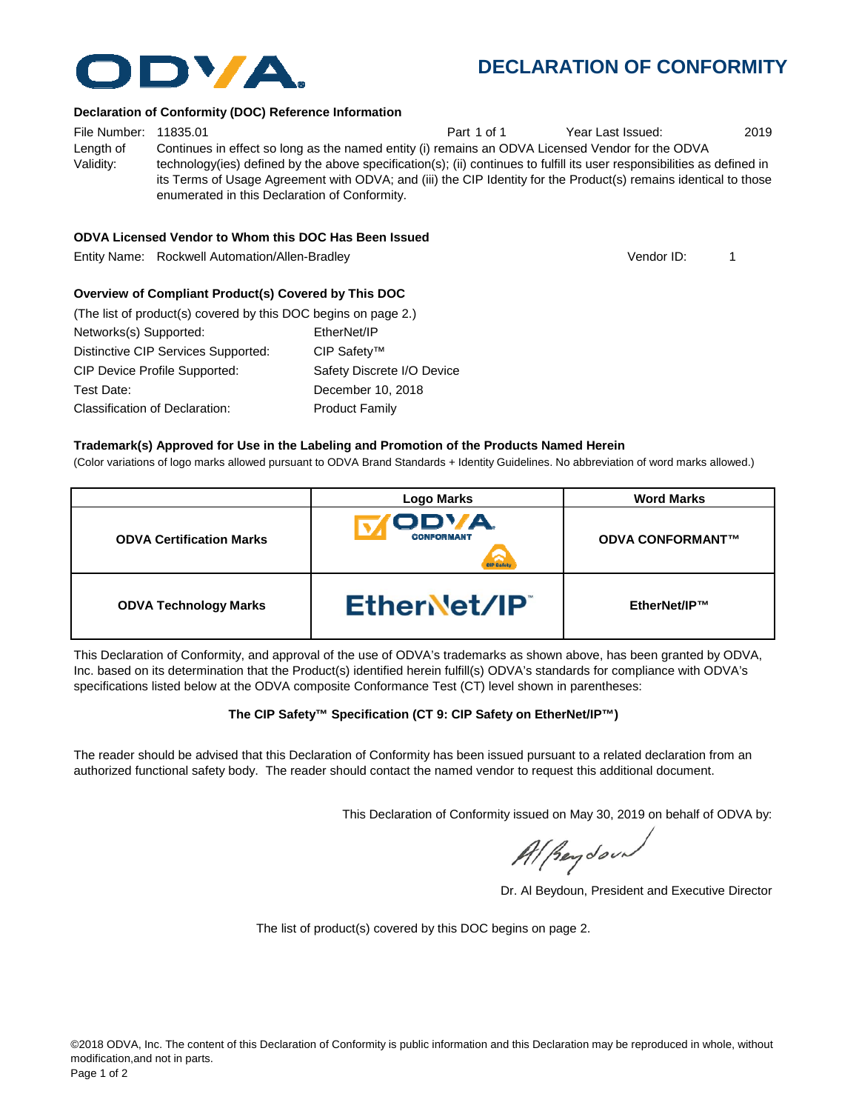# **DECLARATION OF CONFORMITY**

### **Declaration of Conformity (DOC) Reference Information**

File Number: 11835.01 **Part 1 of 1** Part 1 of 1 Year Last Issued: 2019 Length of Validity: Continues in effect so long as the named entity (i) remains an ODVA Licensed Vendor for the ODVA technology(ies) defined by the above specification(s); (ii) continues to fulfill its user responsibilities as defined in its Terms of Usage Agreement with ODVA; and (iii) the CIP Identity for the Product(s) remains identical to those enumerated in this Declaration of Conformity.

### **ODVA Licensed Vendor to Whom this DOC Has Been Issued**

Entity Name: Rockwell Automation/Allen-Bradley 1

## **Overview of Compliant Product(s) Covered by This DOC**

| (The list of product(s) covered by this DOC begins on page 2.) |                            |
|----------------------------------------------------------------|----------------------------|
| Networks(s) Supported:                                         | EtherNet/IP                |
| Distinctive CIP Services Supported:                            | CIP Safety™                |
| <b>CIP Device Profile Supported:</b>                           | Safety Discrete I/O Device |
| Test Date:                                                     | December 10, 2018          |
| Classification of Declaration:                                 | <b>Product Family</b>      |

### **Trademark(s) Approved for Use in the Labeling and Promotion of the Products Named Herein**

(Color variations of logo marks allowed pursuant to ODVA Brand Standards + Identity Guidelines. No abbreviation of word marks allowed.)

|                                 | <b>Logo Marks</b>          | <b>Word Marks</b>       |
|---------------------------------|----------------------------|-------------------------|
| <b>ODVA Certification Marks</b> | ODVA.<br><b>CONFORMANT</b> | <b>ODVA CONFORMANT™</b> |
| <b>ODVA Technology Marks</b>    | EtherNet/IP                | EtherNet/IP™            |

This Declaration of Conformity, and approval of the use of ODVA's trademarks as shown above, has been granted by ODVA, Inc. based on its determination that the Product(s) identified herein fulfill(s) ODVA's standards for compliance with ODVA's specifications listed below at the ODVA composite Conformance Test (CT) level shown in parentheses:

## **The CIP Safety™ Specification (CT 9: CIP Safety on EtherNet/IP™)**

The reader should be advised that this Declaration of Conformity has been issued pursuant to a related declaration from an authorized functional safety body. The reader should contact the named vendor to request this additional document.

This Declaration of Conformity issued on May 30, 2019 on behalf of ODVA by:

Al Beydoor

Dr. Al Beydoun, President and Executive Director

The list of product(s) covered by this DOC begins on page 2.



Vendor ID: